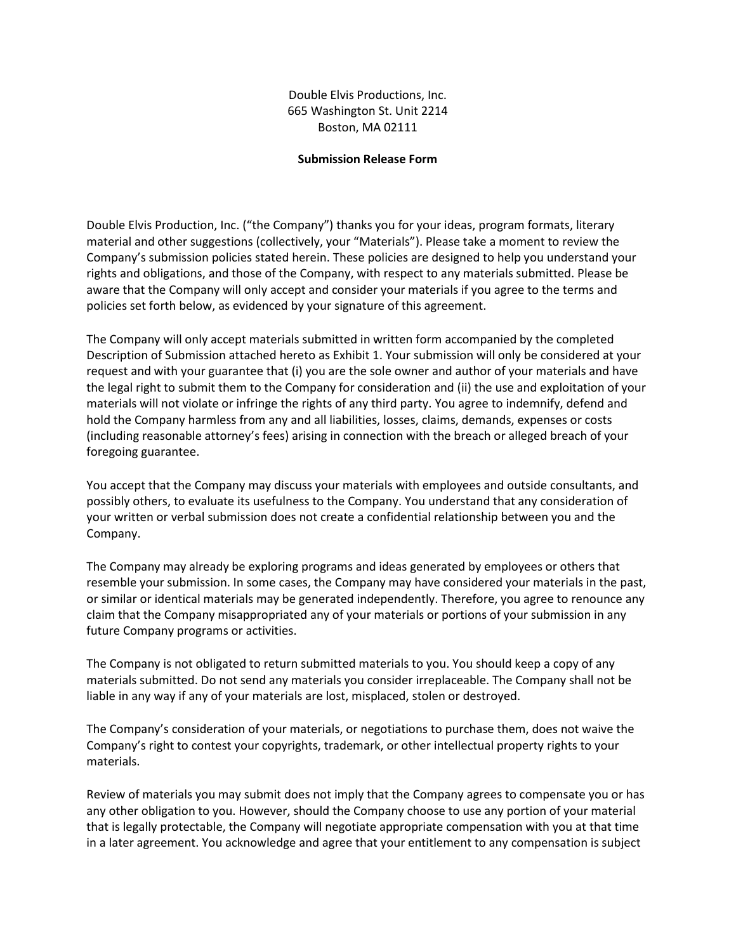Double Elvis Productions, Inc. 665 Washington St. Unit 2214 Boston, MA 02111

#### **Submission Release Form**

Double Elvis Production, Inc. ("the Company") thanks you for your ideas, program formats, literary material and other suggestions (collectively, your "Materials"). Please take a moment to review the Company's submission policies stated herein. These policies are designed to help you understand your rights and obligations, and those of the Company, with respect to any materials submitted. Please be aware that the Company will only accept and consider your materials if you agree to the terms and policies set forth below, as evidenced by your signature of this agreement.

The Company will only accept materials submitted in written form accompanied by the completed Description of Submission attached hereto as Exhibit 1. Your submission will only be considered at your request and with your guarantee that (i) you are the sole owner and author of your materials and have the legal right to submit them to the Company for consideration and (ii) the use and exploitation of your materials will not violate or infringe the rights of any third party. You agree to indemnify, defend and hold the Company harmless from any and all liabilities, losses, claims, demands, expenses or costs (including reasonable attorney's fees) arising in connection with the breach or alleged breach of your foregoing guarantee.

You accept that the Company may discuss your materials with employees and outside consultants, and possibly others, to evaluate its usefulness to the Company. You understand that any consideration of your written or verbal submission does not create a confidential relationship between you and the Company.

The Company may already be exploring programs and ideas generated by employees or others that resemble your submission. In some cases, the Company may have considered your materials in the past, or similar or identical materials may be generated independently. Therefore, you agree to renounce any claim that the Company misappropriated any of your materials or portions of your submission in any future Company programs or activities.

The Company is not obligated to return submitted materials to you. You should keep a copy of any materials submitted. Do not send any materials you consider irreplaceable. The Company shall not be liable in any way if any of your materials are lost, misplaced, stolen or destroyed.

The Company's consideration of your materials, or negotiations to purchase them, does not waive the Company's right to contest your copyrights, trademark, or other intellectual property rights to your materials.

Review of materials you may submit does not imply that the Company agrees to compensate you or has any other obligation to you. However, should the Company choose to use any portion of your material that is legally protectable, the Company will negotiate appropriate compensation with you at that time in a later agreement. You acknowledge and agree that your entitlement to any compensation is subject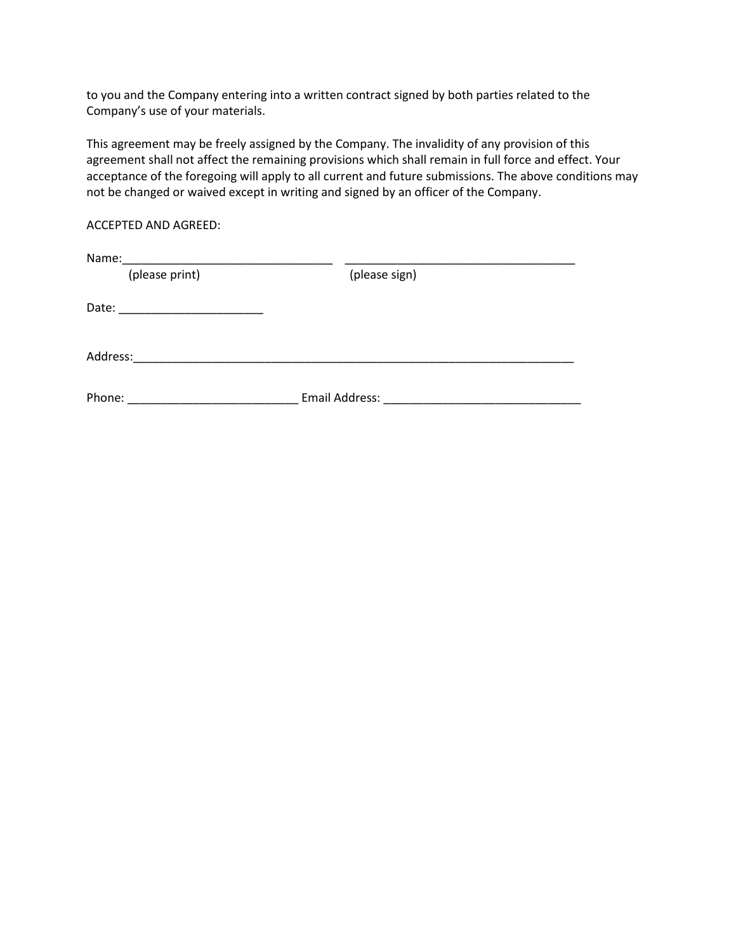to you and the Company entering into a written contract signed by both parties related to the Company's use of your materials.

This agreement may be freely assigned by the Company. The invalidity of any provision of this agreement shall not affect the remaining provisions which shall remain in full force and effect. Your acceptance of the foregoing will apply to all current and future submissions. The above conditions may not be changed or waived except in writing and signed by an officer of the Company.

# ACCEPTED AND AGREED:

| Name:                                                                                              |                |
|----------------------------------------------------------------------------------------------------|----------------|
| (please print)                                                                                     | (please sign)  |
| Date:<br>the control of the control of the control of the control of the control of the control of |                |
| Address:                                                                                           |                |
| Phone:                                                                                             | Email Address: |